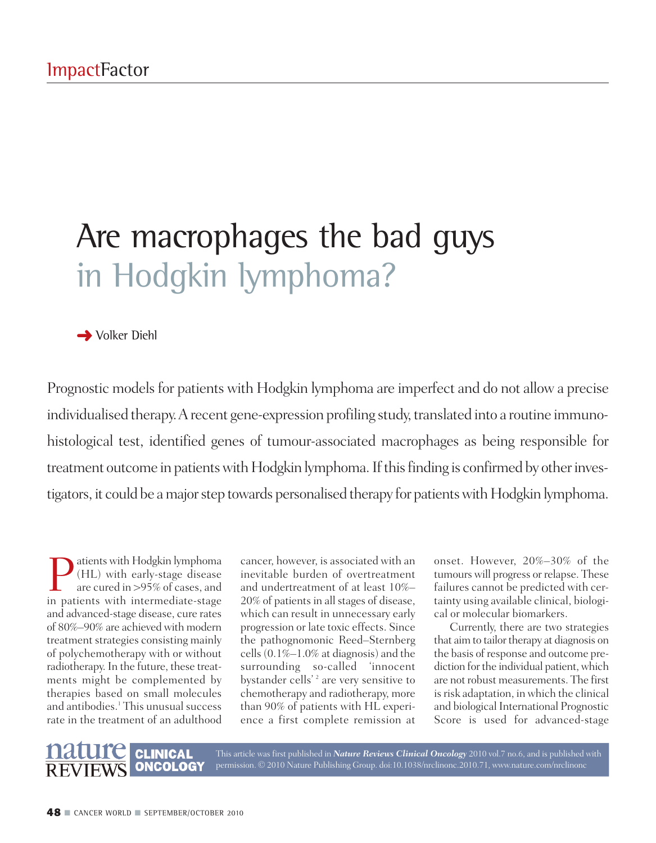## Are macrophages the bad guys in Hodgkin lymphoma?

## **→** Volker Diehl

Prognostic models for patients with Hodgkin lymphoma are imperfect and do not allow a precise individualised therapy. A recent gene-expression profiling study, translated into a routine immunohistological test, identified genes of tumour-associated macrophages as being responsible for treatment outcome in patients with Hodgkin lymphoma. If this finding is confirmed by other investigators, it could be a major step towards personalised therapy for patients with Hodgkin lymphoma.

atients with Hodgkin lymphoma (HL) with early-stage disease are cured in >95% of cases, and in patients with intermediate-stage and advanced-stage disease, cure rates of 80%–90% are achieved with modern treatment strategies consisting mainly of polychemotherapy with or without radiotherapy. In the future, these treatments might be complemented by therapies based on small molecules and antibodies. <sup>1</sup> This unusual success rate in the treatment of an adulthood

cancer, however, is associated with an inevitable burden of overtreatment and undertreatment of at least 10%– 20% of patients in all stages of disease, which can result in unnecessary early progression or late toxic effects. Since the pathognomonic Reed–Sternberg cells  $(0.1\% - 1.0\%$  at diagnosis) and the surrounding so-called 'innocent bystander cells'<sup>2</sup> are very sensitive to chemotherapy and radiotherapy, more than 90% of patients with HL experience a first complete remission at

onset. However, 20%–30% of the tumours will progress or relapse. These failures cannot be predicted with certainty using available clinical, biological or molecular biomarkers.

Currently, there are two strategies that aim to tailor therapy at diagnosis on the basis of response and outcome prediction for the individual patient, which are not robust measurements. The first is risk adaptation, in which the clinical and biological International Prognostic Score is used for advanced-stage



This article was first published in *Nature Reviews Clinical Oncology* 2010 vol.7 no.6, and is published with permission. © 2010 Nature Publishing Group. doi:10.1038/nrclinonc.2010.71, www.nature.com/nrclinonc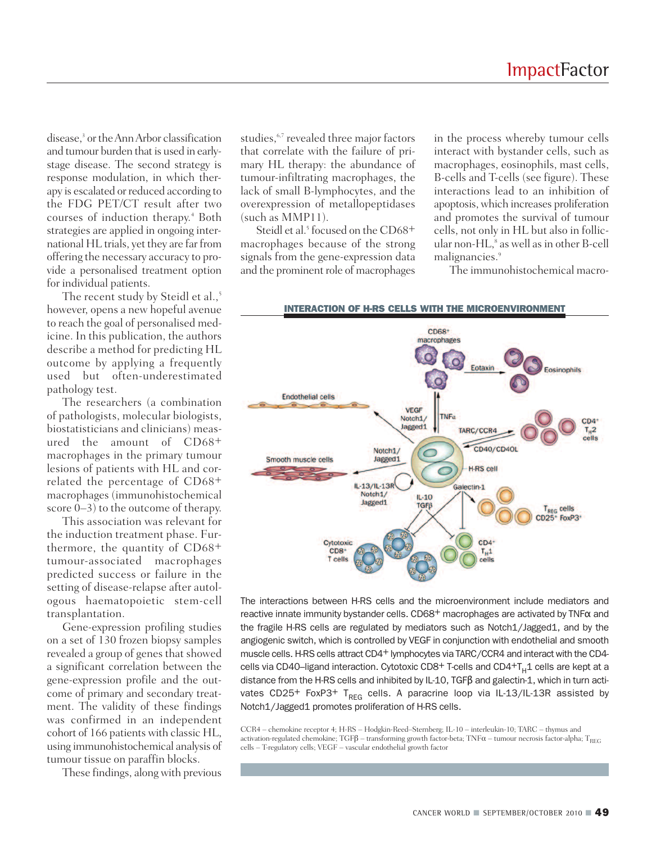disease, <sup>3</sup> or theAnnArbor classification and tumour burden that is used in earlystage disease. The second strategy is response modulation, in which therapy is escalated or reduced according to the FDG PET/CT result after two courses of induction therapy. <sup>4</sup> Both strategies are applied in ongoing international HL trials, yet they are far from offering the necessary accuracy to provide a personalised treatment option for individual patients.

The recent study by Steidl et al., 5 however, opens a new hopeful avenue to reach the goal of personalised medicine. In this publication, the authors describe a method for predicting HL outcome by applying a frequently used but often-underestimated pathology test.

The researchers (a combination of pathologists, molecular biologists, biostatisticians and clinicians) measured the amount of CD68+ macrophages in the primary tumour lesions of patients with HL and correlated the percentage of CD68+ macrophages (immunohistochemical score 0–3) to the outcome of therapy.

This association was relevant for the induction treatment phase. Furthermore, the quantity of CD68+ tumour-associated macrophages predicted success or failure in the setting of disease-relapse after autologous haematopoietic stem-cell transplantation.

Gene-expression profiling studies on a set of 130 frozen biopsy samples revealed a group of genes that showed a significant correlation between the gene-expression profile and the outcome of primary and secondary treatment. The validity of these findings was confirmed in an independent cohort of 166 patients with classic HL, using immunohistochemical analysis of tumour tissue on paraffin blocks.

These findings, along with previous

studies, 6,7 revealed three major factors that correlate with the failure of primary HL therapy: the abundance of tumour-infiltrating macrophages, the lack of small B-lymphocytes, and the overexpression of metallopeptidases (such as MMP11).

Steidl et al. <sup>5</sup> focused on the CD68+ macrophages because of the strong signals from the gene-expression data and the prominent role of macrophages

in the process whereby tumour cells interact with bystander cells, such as macrophages, eosinophils, mast cells, B-cells and T-cells (see figure). These interactions lead to an inhibition of apoptosis, which increases proliferation and promotes the survival of tumour cells, not only in HL but also in follicular non-HL, <sup>8</sup> as well asin other B-cell malignancies. 9

The immunohistochemical macro-



The interactions between H-RS cells and the microenvironment include mediators and reactive innate immunity bystander cells. CD68+ macrophages are activated by TNF<sup>α</sup> and the fragile H-RS cells are regulated by mediators such as Notch1/Jagged1, and by the angiogenic switch, which is controlled by VEGF in conjunction with endothelial and smooth muscle cells. H-RS cells attract CD4+ lymphocytes via TARC/CCR4 and interact with the CD4cells via CD40-ligand interaction. Cytotoxic CD8+ T-cells and CD4+ $T_H1$  cells are kept at a distance from the H-RS cells and inhibited by IL-10, TGFβ and galectin-1, which in turn activates CD25<sup>+</sup> FoxP3<sup>+</sup> T<sub>REG</sub> cells. A paracrine loop via IL-13/IL-13R assisted by Notch1/Jagged1 promotes proliferation of H-RS cells.

CCR4 – chemokine receptor 4; H-RS – Hodgkin-Reed–Sternberg; IL-10 – interleukin-10; TARC – thymus and activation-regulated chemokine; TGF $\beta$  – transforming growth factor-beta; TNF $\alpha$  – tumour necrosis factor-alpha; T<sub>REG</sub> cells – T-regulatory cells; VEGF – vascular endothelial growth factor